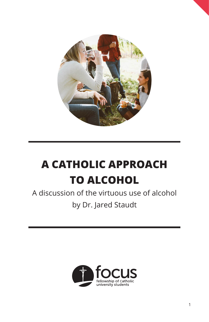

## **A CATHOLIC APPROACH TO ALCOHOL**

A discussion of the virtuous use of alcohol by Dr. Jared Staudt

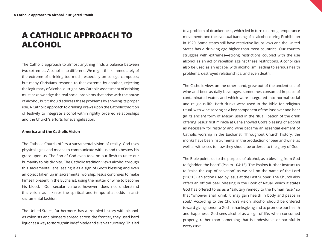### **A CATHOLIC APPROACH TO ALCOHOL**

The Catholic approach to almost anything finds a balance between two extremes. Alcohol is no different. We might think immediately of the extreme of drinking too much, especially on college campuses; but many Christians respond to that extreme by another, rejecting the legitimacy of alcohol outright. Any Catholic assessment of drinking must acknowledge the real social problems that arise with the abuse of alcohol, but it should address these problems by showing its proper use. A Catholic approach to drinking draws upon the Catholic tradition of festivity to integrate alcohol within rightly ordered relationships and the Church's efforts for evangelization.

#### **America and the Catholic Vision**

The Catholic Church offers a sacramental vision of reality. God uses physical signs and means to communicate with us and to bestow his grace upon us. The Son of God even took on our flesh to unite our humanity to his divinity. The Catholic tradition views alcohol through this sacramental lens, seeing it as a sign of God's blessing and even an object taken up in sacramental worship. Jesus continues to make himself present in the Eucharist, using the matter of wine to become his blood. Our secular culture, however, does not understand this vision, as it keeps the spiritual and temporal at odds in antisacramental fashion.

The United States, furthermore, has a troubled history with alcohol. As colonists and pioneers spread across the frontier, they used hard liquor as a way to store grain indefinitely and even as currency. This led

to a problem of drunkenness, which led in turn to strong temperance movements and the eventual banning of all alcohol during Prohibition in 1920. Some states still have restrictive liquor laws and the United States has a drinking age higher than most countries. Our country struggles with extremes—strong restrictions coupled with the use alcohol as an act of rebellion against these restrictions. Alcohol can also be used as an escape, with alcoholism leading to serious health problems, destroyed relationships, and even death.

The Catholic view, on the other hand, grew out of the ancient use of wine and beer as daily beverages, sometimes consumed in place of contaminated water, and which were integrated into normal social and religious life. Both drinks were used in the Bible for religious ritual, with wine serving as a key component of the Passover and beer (in its ancient form of *shekar*) used in the ritual libation of the drink offering. Jesus' first miracle at Cana showed God's blessing of alcohol as necessary for festivity and wine became an essential element of Catholic worship in the Eucharist. Throughout Church history, the monks have been instrumental in the production of beer and wine, as well as witnesses to how they should be ordered to the glory of God.

The Bible points us to the purpose of alcohol, as a blessing from God to "gladden the heart" (Psalm 104:15). The Psalms further instruct us to "raise the cup of salvation" as we call on the name of the Lord (116:13), an action used by Jesus at the Last Supper. The Church also offers an official beer blessing in the Book of Ritual, which it states God has offered to us as a "salutary remedy to the human race," so that "whoever shall drink it, may gain health in body and peace in soul." According to the Church's vision, alcohol should be ordered toward giving honor to God in thanksgiving and to promote our health and happiness. God sees alcohol as a sign of life, when consumed properly, rather than something that is undesirable or harmful in every case.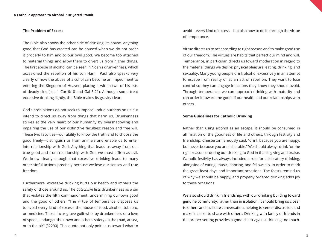#### **The Problem of Excess**

The Bible also shows the other side of drinking: its abuse. Anything good that God has created can be abused when we do not order it properly to him and to our own good. We become too attached to material things and allow them to divert us from higher things. The first abuse of alcohol can be seen in Noah's drunkenness, which occasioned the rebellion of his son Ham. Paul also speaks very clearly of how the abuse of alcohol can become an impediment to entering the Kingdom of Heaven, placing it within two of his lists of deadly sins (see 1 Cor 6:10 and Gal 5:21). Although some treat excessive drinking lightly, the Bible makes its gravity clear.

God's prohibitions do not seek to impose undue burdens on us but intend to direct us away from things that harm us. Drunkenness strikes at the very heart of our humanity by overshadowing and impairing the use of our distinctive faculties: reason and free will. These two faculties—our ability to know the truth and to choose the good freely—distinguish us from animals and enable us to enter into relationship with God. Anything that leads us away from our true good and from relationship with God we must affirm as evil. We know clearly enough that excessive drinking leads to many other sinful actions precisely because we lose our senses and true freedom.

Furthermore, excessive drinking hurts our health and impairs the safety of those around us. The *Catechism* lists drunkenness as a sin that violates the fifth commandment, undermining our own good and the good of others: "The virtue of temperance disposes us to avoid every kind of excess: the abuse of food, alcohol, tobacco, or medicine. Those incur grave guilt who, by drunkenness or a love of speed, endanger their own and others' safety on the road, at sea, or in the air" (§2290). This quote not only points us toward what to

avoid—every kind of excess—but also how to do it, through the virtue of temperance.

Virtue directs us to act according to right reason and to make good use of our freedom. The virtues are habits that perfect our mind and will. Temperance, in particular, directs us toward moderation in regard to the material things we desire: physical pleasure, eating, drinking, and sexuality. Many young people drink alcohol excessively in an attempt to escape from reality or as an act of rebellion. They want to lose control so they can engage in actions they know they should avoid. Through temperance, we can approach drinking with maturity and can order it toward the good of our health and our relationships with others.

#### **Some Guidelines for Catholic Drinking**

Rather than using alcohol as an escape, it should be consumed in affirmation of the goodness of life and others, through festivity and friendship. Chesterton famously said, "drink because you are happy, but never because you are miserable." We should always drink for the right reason, ordering our drinking to God in thanksgiving and praise. Catholic festivity has always included a role for celebratory drinking, alongside of eating, music, dancing, and fellowship, in order to mark the great feast days and important occasions. The feasts remind us of why we should be happy, and properly ordered drinking adds joy to these occasions.

We also should drink in friendship, with our drinking building toward genuine community, rather than in isolation. It should bring us closer to others and facilitate conversation, helping to center discussion and make it easier to share with others. Drinking with family or friends in the proper setting provides a good check against drinking too much.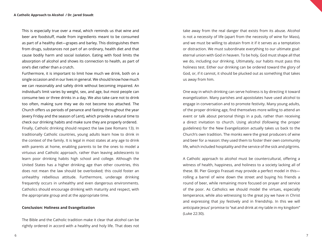This is especially true over a meal, which reminds us that wine and beer are foodstuff, made from ingredients meant to be consumed as part of a healthy diet—grapes and barley. This distinguishes them from drugs, substances not part of an ordinary, health diet and that cause bodily harm and social isolation. Eating with food limits the absorption of alcohol and shows its connection to health, as part of one's diet rather than a crutch.

Furthermore, it is important to limit how much we drink, both on a single occasion and in our lives in general. We should know how much we can reasonably and safely drink without becoming impaired. An individual's limit varies by weight, sex, and age, but most people can consume two or three drinks in a day. We also take care not to drink too often, making sure they we do not become too attached. The Church offers us periods of penance and fasting throughout the year (every Friday and the season of Lent), which provide a natural time to check our drinking habits and make sure they are properly ordered. Finally, Catholic drinking should respect the law (see Romans 13). In traditionally Catholic countries, young adults learn how to drink in the context of the family. It is legal in most states at any age to drink with parents at home, enabling parents to be the ones to model a virtuous and Catholic approach, rather than leaving adolescents to learn poor drinking habits high school and college. Although the United States has a higher drinking age than other countries, this does not mean the law should be overlooked; this could foster an unhealthy rebellious attitude. Furthermore, underage drinking frequently occurs in unhealthy and even dangerous environments. Catholics should encourage drinking with maturity and respect, with the appropriate group and at the appropriate time.

#### **Conclusion: Holiness and Evangelization**

The Bible and the Catholic tradition make it clear that alcohol can be rightly ordered in accord with a healthy and holy life. That does not take away from the real danger that exists from its abuse. Alcohol is not a necessity of life (apart from the necessity of wine for Mass), and we must be willing to abstain from it if it serves as a temptation or distraction. We must subordinate everything to our ultimate goal: eternal union with God in heaven. To be holy, God must shape all that we do, including our drinking. Ultimately, our habits must pass this holiness test. Either our drinking can be ordered toward the glory of God, or, if it cannot, it should be plucked out as something that takes us away from him.

One way in which drinking can serve holiness is by directing it toward evangelization. Many parishes and apostolates have used alcohol to engage in conversation and to promote festivity. Many young adults, of the proper drinking age, find themselves more willing to attend an event or talk about personal things in a pub, rather than receiving a direct invitation to church. Using alcohol (following the proper guidelines) for the New Evangelization actually takes us back to the Church's own tradition. The monks were the great producers of wine and beer for a reason: they used them to foster their own community life, which included hospitality and the service of the sick and pilgrims.

A Catholic approach to alcohol must be countercultural, offering a witness of health, happiness, and holiness to a society lacking all of these. Bl. Pier Giorgio Frassati may provide a perfect model in this rolling a barrel of wine down the street and buying his friends a round of beer, while remaining more focused on prayer and service of the poor. As Catholics we should model the virtues, especially temperance, while also witnessing to the great joy we have in Christ and expressing that joy festively and in friendship. In this we will anticipate Jesus' promise to "eat and drink at my table in my kingdom" (Luke 22:30).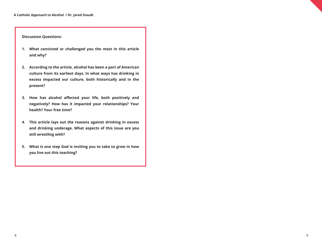**Discussion Questions:**

- **1. What convicted or challenged you the most in this article and why?**
- **2. According to the article, alcohol has been a part of American culture from its earliest days. In what ways has drinking in excess impacted our culture, both historically and in the present?**
- **3. How has alcohol affected your life, both positively and negatively? How has it impacted your relationships? Your health? Your free time?**
- **4. This article lays out the reasons against drinking in excess and drinking underage. What aspects of this issue are you still wrestling with?**
- **5. What is one step God is inviting you to take to grow in how you live out this teaching?**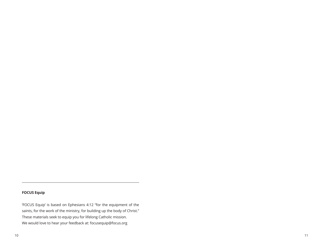#### **FOCUS Equip**

'FOCUS Equip' is based on Ephesians 4:12 "for the equipment of the saints, for the work of the ministry, for building up the body of Christ." These materials seek to equip you for lifelong Catholic mission. We would love to hear your feedback at: focusequip@focus.org